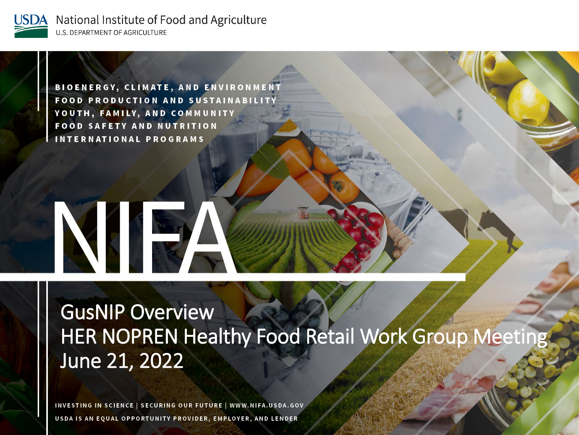

National Institute of Food and Agriculture U.S. DEPARTMENT OF AGRICULTURE

**BIOENERGY, CLIMATE, AND ENVIRONMENT FOOD PRODUCTION AND SUSTAINABILITY** YOUTH, FAMILY, AND COMMUNITY **FOOD SAFETY AND NUTRITION INTERNATIONAL PROGRAMS** 

# NIE

**GusNIP Overview HER NOPREN Healthy Food Retail Work Group Meeting** June 21, 2022

INVESTING IN SCIENCE | SECURING OUR FUTURE | WWW.NIFA.USDA.GOV USDA IS AN EQUAL OPPORTUNITY PROVIDER, EMPLOYER, AND LENDER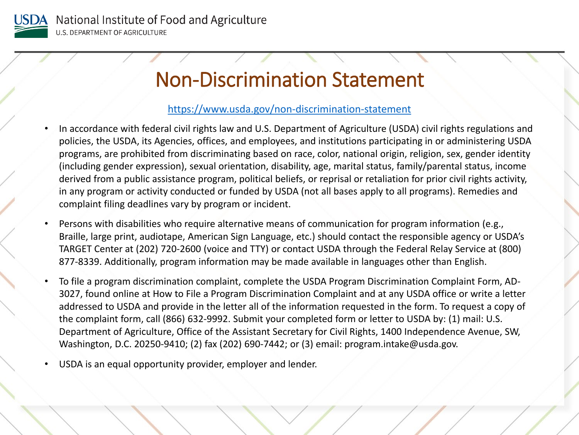

### Non-Discrimination Statement

#### <https://www.usda.gov/non-discrimination-statement>

- In accordance with federal civil rights law and U.S. Department of Agriculture (USDA) civil rights regulations and policies, the USDA, its Agencies, offices, and employees, and institutions participating in or administering USDA programs, are prohibited from discriminating based on race, color, national origin, religion, sex, gender identity (including gender expression), sexual orientation, disability, age, marital status, family/parental status, income derived from a public assistance program, political beliefs, or reprisal or retaliation for prior civil rights activity, in any program or activity conducted or funded by USDA (not all bases apply to all programs). Remedies and complaint filing deadlines vary by program or incident.
- Persons with disabilities who require alternative means of communication for program information (e.g., Braille, large print, audiotape, American Sign Language, etc.) should contact the responsible agency or USDA's TARGET Center at (202) 720-2600 (voice and TTY) or contact USDA through the Federal Relay Service at (800) 877-8339. Additionally, program information may be made available in languages other than English.
- To file a program discrimination complaint, complete the USDA Program Discrimination Complaint Form, AD-3027, found online at How to File a Program Discrimination Complaint and at any USDA office or write a letter addressed to USDA and provide in the letter all of the information requested in the form. To request a copy of the complaint form, call (866) 632-9992. Submit your completed form or letter to USDA by: (1) mail: U.S. Department of Agriculture, Office of the Assistant Secretary for Civil Rights, 1400 Independence Avenue, SW, Washington, D.C. 20250-9410; (2) fax (202) 690-7442; or (3) email: program.intake@usda.gov.
- USDA is an equal opportunity provider, employer and lender.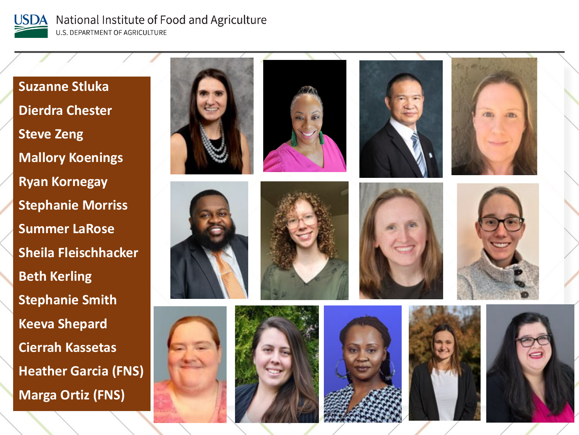

National Institute of Food and Agriculture **U.S. DEPARTMENT OF AGRICULTURE** 

**Suzanne Stluka Dierdra Chester Steve Zeng Mallory Koenings Ryan Kornegay Stephanie Morriss Summer LaRose Sheila Fleischhacker Beth Kerling Stephanie Smith Keeva Shepard Cierrah Kassetas Heather Garcia (FNS) Marga Ortiz (FNS)**













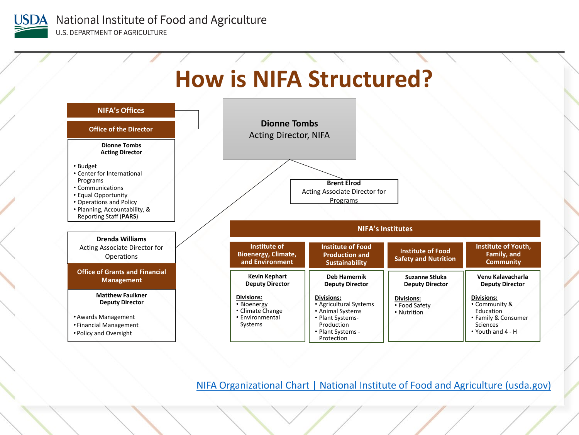



[NIFA Organizational Chart | National Institute of Food and Agriculture \(usda.gov\)](https://nifa.usda.gov/resource/nifa-organizational-chart)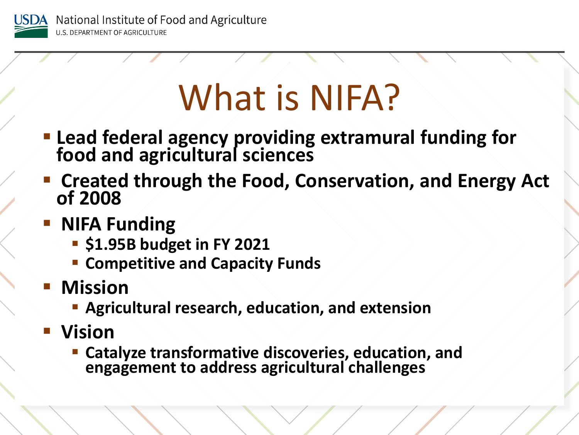

## What is NIFA?

- **Lead federal agency providing extramural funding for food and agricultural sciences**
- **Created through the Food, Conservation, and Energy Act of 2008**
- **NIFA Funding** 
	- $\cdot$  **\$1.95B budget in FY 2021**
	- **EX Competitive and Capacity Funds**
- **Mission** 
	- **Agricultural research, education, and extension**
- **Vision** 
	- **Catalyze transformative discoveries, education, and engagement to address agricultural challenges**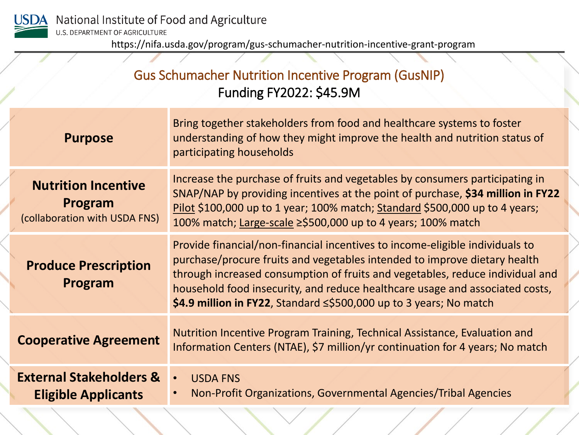

https://nifa.usda.gov/program/gus-schumacher-nutrition-incentive-grant-program

### Gus Schumacher Nutrition Incentive Program (GusNIP) Funding FY2022: \$45.9M

| <b>Purpose</b>                                                         | Bring together stakeholders from food and healthcare systems to foster<br>understanding of how they might improve the health and nutrition status of<br>participating households                                                                                                                                                                                                                       |
|------------------------------------------------------------------------|--------------------------------------------------------------------------------------------------------------------------------------------------------------------------------------------------------------------------------------------------------------------------------------------------------------------------------------------------------------------------------------------------------|
| <b>Nutrition Incentive</b><br>Program<br>(collaboration with USDA FNS) | Increase the purchase of fruits and vegetables by consumers participating in<br>SNAP/NAP by providing incentives at the point of purchase, \$34 million in FY22<br>Pilot \$100,000 up to 1 year; 100% match; Standard \$500,000 up to 4 years;<br>100% match; Large-scale ≥\$500,000 up to 4 years; 100% match                                                                                         |
| <b>Produce Prescription</b><br>Program                                 | Provide financial/non-financial incentives to income-eligible individuals to<br>purchase/procure fruits and vegetables intended to improve dietary health<br>through increased consumption of fruits and vegetables, reduce individual and<br>household food insecurity, and reduce healthcare usage and associated costs,<br>\$4.9 million in FY22, Standard $\leq$ \$500,000 up to 3 years; No match |
| <b>Cooperative Agreement</b>                                           | Nutrition Incentive Program Training, Technical Assistance, Evaluation and<br>Information Centers (NTAE), \$7 million/yr continuation for 4 years; No match                                                                                                                                                                                                                                            |
| <b>External Stakeholders &amp;</b><br><b>Eligible Applicants</b>       | <b>USDA FNS</b><br>$\bullet$<br>Non-Profit Organizations, Governmental Agencies/Tribal Agencies                                                                                                                                                                                                                                                                                                        |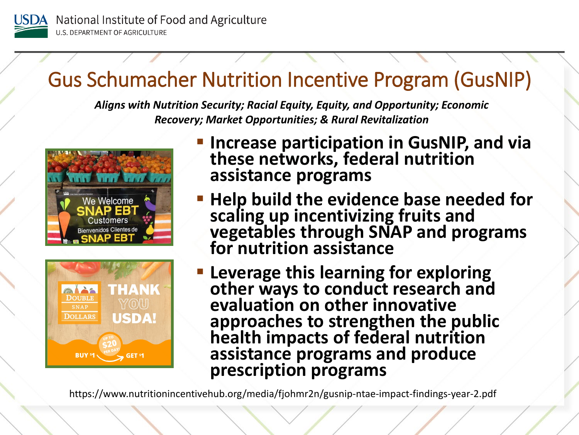

## Gus Schumacher Nutrition Incentive Program (GusNIP)

*Aligns with Nutrition Security; Racial Equity, Equity, and Opportunity; Economic Recovery; Market Opportunities; & Rural Revitalization* 





- **Increase participation in GusNIP, and via these networks, federal nutrition assistance programs**
- **Help build the evidence base needed for scaling up incentivizing fruits and vegetables through SNAP and programs for nutrition assistance**
- **Leverage this learning for exploring other ways to conduct research and evaluation on other innovative approaches to strengthen the public health impacts of federal nutrition assistance programs and produce prescription programs**

https://www.nutritionincentivehub.org/media/fjohmr2n/gusnip-ntae-impact-findings-year-2.pdf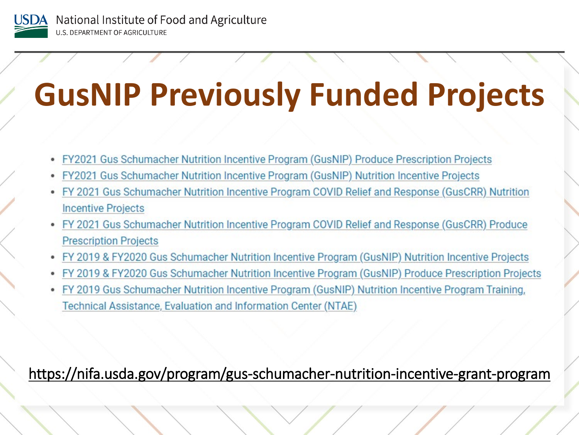

## **GusNIP Previously Funded Projects**

- FY2021 Gus Schumacher Nutrition Incentive Program (GusNIP) Produce Prescription Projects
- FY2021 Gus Schumacher Nutrition Incentive Program (GusNIP) Nutrition Incentive Projects
- FY 2021 Gus Schumacher Nutrition Incentive Program COVID Relief and Response (GusCRR) Nutrition **Incentive Projects**
- FY 2021 Gus Schumacher Nutrition Incentive Program COVID Relief and Response (GusCRR) Produce **Prescription Projects**
- FY 2019 & FY2020 Gus Schumacher Nutrition Incentive Program (GusNIP) Nutrition Incentive Projects
- FY 2019 & FY2020 Gus Schumacher Nutrition Incentive Program (GusNIP) Produce Prescription Projects
- FY 2019 Gus Schumacher Nutrition Incentive Program (GusNIP) Nutrition Incentive Program Training, Technical Assistance, Evaluation and Information Center (NTAE)

### https://nifa.usda.gov/program/gus-schumacher-nutrition-incentive-grant-program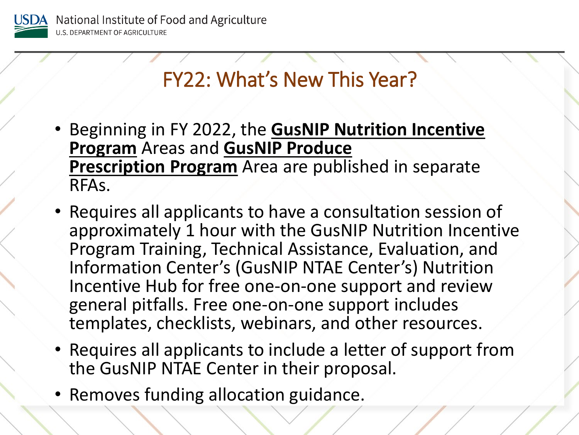

## FY22: What's New This Year?

- Beginning in FY 2022, the **GusNIP Nutrition Incentive Program** Areas and **GusNIP Produce Prescription Program** Area are published in separate RFAs.
- Requires all applicants to have a consultation session of approximately 1 hour with the GusNIP Nutrition Incentive Program Training, Technical Assistance, Evaluation, and Information Center's (GusNIP NTAE Center's) Nutrition Incentive Hub for free one-on-one support and review general pitfalls. Free one-on-one support includes templates, checklists, webinars, and other resources.
- Requires all applicants to include a letter of support from the GusNIP NTAE Center in their proposal.
- Removes funding allocation guidance.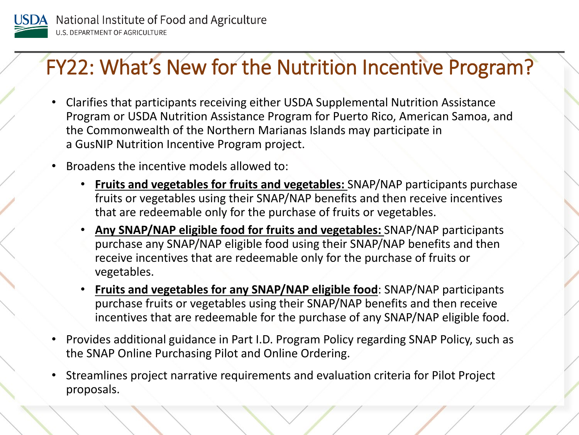

### FY22: What's New for the Nutrition Incentive Program?

- Clarifies that participants receiving either USDA Supplemental Nutrition Assistance Program or USDA Nutrition Assistance Program for Puerto Rico, American Samoa, and the Commonwealth of the Northern Marianas Islands may participate in a GusNIP Nutrition Incentive Program project.
- Broadens the incentive models allowed to:
	- **Fruits and vegetables for fruits and vegetables:** SNAP/NAP participants purchase fruits or vegetables using their SNAP/NAP benefits and then receive incentives that are redeemable only for the purchase of fruits or vegetables.
	- **Any SNAP/NAP eligible food for fruits and vegetables:** SNAP/NAP participants purchase any SNAP/NAP eligible food using their SNAP/NAP benefits and then receive incentives that are redeemable only for the purchase of fruits or vegetables.
	- **Fruits and vegetables for any SNAP/NAP eligible food**: SNAP/NAP participants purchase fruits or vegetables using their SNAP/NAP benefits and then receive incentives that are redeemable for the purchase of any SNAP/NAP eligible food.
- Provides additional guidance in Part I.D. Program Policy regarding SNAP Policy, such as the SNAP Online Purchasing Pilot and Online Ordering.
- Streamlines project narrative requirements and evaluation criteria for Pilot Project proposals.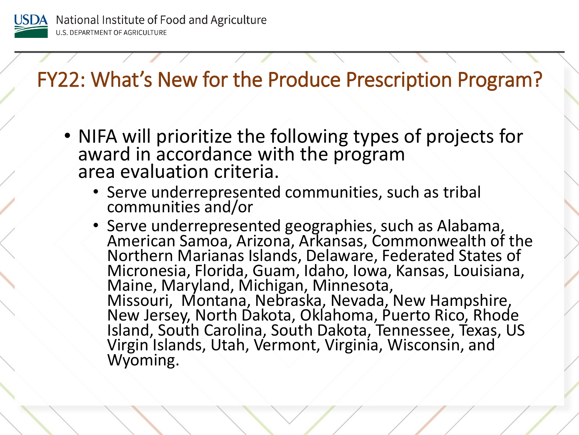

FY22: What's New for the Produce Prescription Program?

- NIFA will prioritize the following types of projects for award in accordance with the program area evaluation criteria.
	- Serve underrepresented communities, such as tribal communities and/or
	- Serve underrepresented geographies, such as Alabama, American Samoa, Arizona, Arkansas, Commonwealth of the Northern Marianas Islands, Delaware, Federated States of Micronesia, Florida, Guam, Idaho, Iowa, Kansas, Louisiana, Maine, Maryland, Michigan, Minnesota, Missouri, Montana, Nebraska, Nevada, New Hampshire,<br>New Jersey, North Dakota, Oklahoma, Puerto Rico, Rhode Island, South Carolina, South Dakota, Tennessee, Texas, US Virgin Islands, Utah, Vermont, Virginia, Wisconsin, and Wyoming.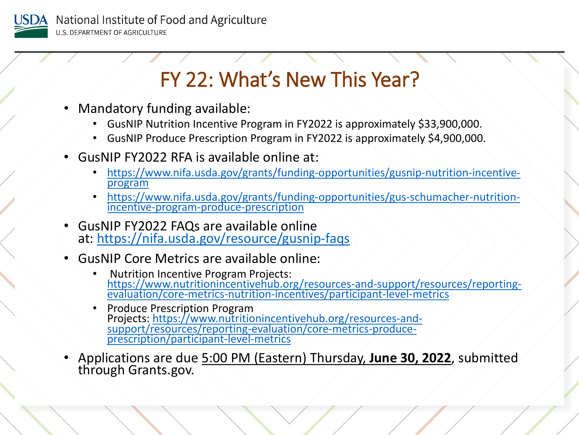

## FY 22: What's New This Year?

- Mandatory funding available:
	- GusNIP Nutrition Incentive Program in FY2022 is approximately \$33,900,000.
	- GusNIP Produce Prescription Program in FY2022 is approximately \$4,900,000.
- GusNIP FY2022 RFA is available online at:
	- [https://www.nifa.usda.gov/grants/funding-opportunities/gusnip-nutrition-incentive-](https://www.nifa.usda.gov/grants/funding-opportunities/gusnip-nutrition-incentive-program) program
	- [https://www.nifa.usda.gov/grants/funding-opportunities/gus-schumacher-nutrition-](https://www.nifa.usda.gov/grants/funding-opportunities/gus-schumacher-nutrition-incentive-program-produce-prescription) incentive-program-produce-prescription
- GusNIP FY2022 FAQs are available online at: <https://nifa.usda.gov/resource/gusnip-faqs>
- GusNIP Core Metrics are available online:
	- Nutrition Incentive Program Projects: [https://www.nutritionincentivehub.org/resources-and-support/resources/reporting-](https://www.nutritionincentivehub.org/resources-and-support/resources/reporting-evaluation/core-metrics-nutrition-incentives/participant-level-metrics) evaluation/core-metrics-nutrition-incentives/participant-level-metrics
	- Produce Prescription Program Projects: https://www.nutritionincentivehub.org/resources-and-<br>[support/resources/reporting-evaluation/core-metrics-produce-](https://www.nutritionincentivehub.org/resources-and-support/resources/reporting-evaluation/core-metrics-produce-prescription/participant-level-metrics)<br>prescription/participant-level-metrics
- Applications are due 5:00 PM (Eastern) Thursday, **June 30, 2022**, submitted through Grants.gov.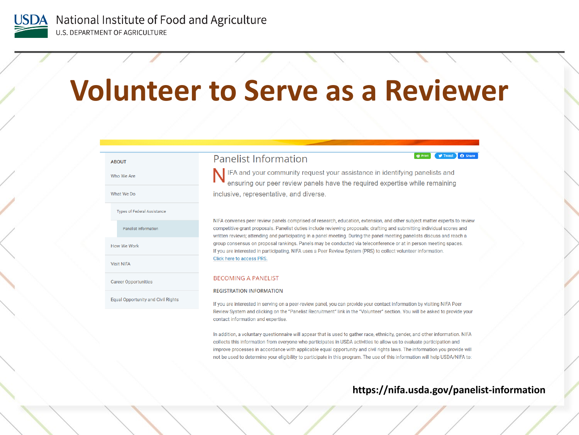

## **Volunteer to Serve as a Reviewer**

#### **ABOUT** Who We Are What We Do **Types of Federal Assistance** Panelist Information How We Work Click here to access PRS. **Visit NIFA BECOMING A PANELIST Career Opportunities Equal Opportunity and Civil Rights**

#### **Panelist Information**

**E** Print V Tweet **Q** Share

IFA and your community request your assistance in identifying panelists and ensuring our peer review panels have the required expertise while remaining inclusive, representative, and diverse.

NIFA convenes peer review panels comprised of research, education, extension, and other subject matter experts to review competitive grant proposals. Panelist duties include reviewing proposals; drafting and submitting individual scores and written reviews; attending and participating in a panel meeting. During the panel meeting panelists discuss and reach a group consensus on proposal rankings. Panels may be conducted via teleconference or at in person meeting spaces. If you are interested in participating. NIFA uses a Peer Review System (PRS) to collect volunteer information.

#### **REGISTRATION INFORMATION**

If you are interested in serving on a peer-review panel, you can provide your contact information by visiting NIFA Peer Review System and clicking on the "Panelist Recruitment" link in the "Volunteer" section. You will be asked to provide your contact information and expertise.

In addition, a voluntary questionnaire will appear that is used to gather race, ethnicity, gender, and other information. NIFA collects this information from everyone who participates in USDA activities to allow us to evaluate participation and improve processes in accordance with applicable equal opportunity and civil rights laws. The information you provide will not be used to determine your eligibility to participate in this program. The use of this information will help USDA/NIFA to:

#### https://nifa.usda.gov/panelist-information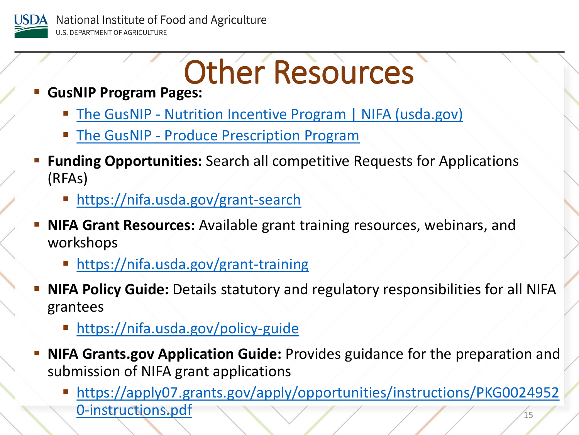

## Other Resources

- **GusNIP Program Pages:** 
	- **The GusNIP [Nutrition Incentive Program | NIFA \(usda.gov\)](https://www.nifa.usda.gov/grants/funding-opportunities/gusnip-nutrition-incentive-program)**
	- The GusNIP [Produce Prescription Program](https://nifa.rancher.usda.gov/grants/funding-opportunities/gus-schumacher-nutrition-incentive-program-produce-prescription)
- **Funding Opportunities:** Search all competitive Requests for Applications (RFAs)
	- **<https://nifa.usda.gov/grant-search>**
- **NIFA Grant Resources:** Available grant training resources, webinars, and workshops
	- <https://nifa.usda.gov/grant-training>
- **NIFA Policy Guide:** Details statutory and regulatory responsibilities for all NIFA grantees
	- **<https://nifa.usda.gov/policy-guide>**
- **NIFA Grants.gov Application Guide:** Provides guidance for the preparation and submission of NIFA grant applications
	- 15 [https://apply07.grants.gov/apply/opportunities/instructions/PKG0024952](https://apply07.grants.gov/apply/opportunities/instructions/PKG00249520-instructions.pdf) 0-instructions.pdf